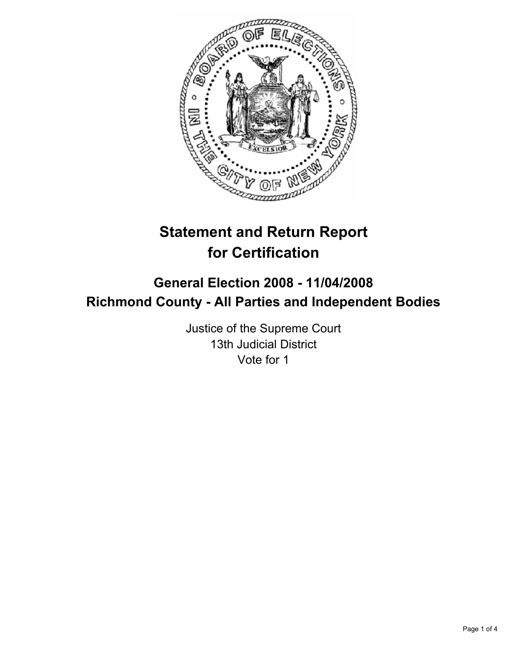

# **Statement and Return Report for Certification**

# **General Election 2008 - 11/04/2008 Richmond County - All Parties and Independent Bodies**

Justice of the Supreme Court 13th Judicial District Vote for 1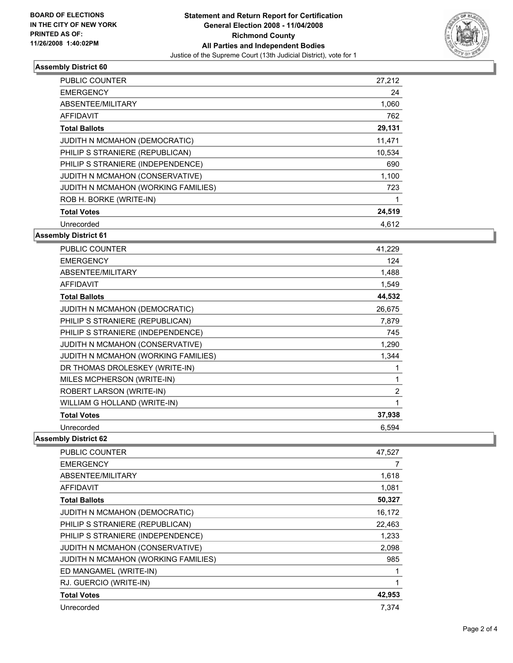

## **Assembly District 60**

| PUBLIC COUNTER                      | 27,212 |  |
|-------------------------------------|--------|--|
| <b>EMERGENCY</b>                    | 24     |  |
| ABSENTEE/MILITARY                   | 1,060  |  |
| AFFIDAVIT                           | 762    |  |
| <b>Total Ballots</b>                | 29,131 |  |
| JUDITH N MCMAHON (DEMOCRATIC)       | 11,471 |  |
| PHILIP S STRANIERE (REPUBLICAN)     | 10,534 |  |
| PHILIP S STRANIERE (INDEPENDENCE)   | 690    |  |
| JUDITH N MCMAHON (CONSERVATIVE)     | 1,100  |  |
| JUDITH N MCMAHON (WORKING FAMILIES) | 723    |  |
| ROB H. BORKE (WRITE-IN)             |        |  |
| <b>Total Votes</b>                  | 24,519 |  |
| Unrecorded                          | 4.612  |  |

#### **Assembly District 61**

| <b>PUBLIC COUNTER</b>               | 41,229         |
|-------------------------------------|----------------|
| <b>EMERGENCY</b>                    | 124            |
| ABSENTEE/MILITARY                   | 1,488          |
| <b>AFFIDAVIT</b>                    | 1,549          |
| <b>Total Ballots</b>                | 44,532         |
| JUDITH N MCMAHON (DEMOCRATIC)       | 26,675         |
| PHILIP S STRANIERE (REPUBLICAN)     | 7,879          |
| PHILIP S STRANIERE (INDEPENDENCE)   | 745            |
| JUDITH N MCMAHON (CONSERVATIVE)     | 1,290          |
| JUDITH N MCMAHON (WORKING FAMILIES) | 1,344          |
| DR THOMAS DROLESKEY (WRITE-IN)      |                |
| MILES MCPHERSON (WRITE-IN)          |                |
| ROBERT LARSON (WRITE-IN)            | $\overline{2}$ |
| WILLIAM G HOLLAND (WRITE-IN)        | 1              |
| <b>Total Votes</b>                  | 37,938         |
| Unrecorded                          | 6.594          |

### **Assembly District 62**

| PUBLIC COUNTER                      | 47,527 |
|-------------------------------------|--------|
| <b>EMERGENCY</b>                    |        |
| ABSENTEE/MILITARY                   | 1,618  |
| <b>AFFIDAVIT</b>                    | 1,081  |
| <b>Total Ballots</b>                | 50,327 |
| JUDITH N MCMAHON (DEMOCRATIC)       | 16,172 |
| PHILIP S STRANIERE (REPUBLICAN)     | 22,463 |
| PHILIP S STRANIERE (INDEPENDENCE)   | 1,233  |
| JUDITH N MCMAHON (CONSERVATIVE)     | 2,098  |
| JUDITH N MCMAHON (WORKING FAMILIES) | 985    |
| ED MANGAMEL (WRITE-IN)              |        |
| RJ. GUERCIO (WRITE-IN)              |        |
| <b>Total Votes</b>                  | 42,953 |
| Unrecorded                          | 7.374  |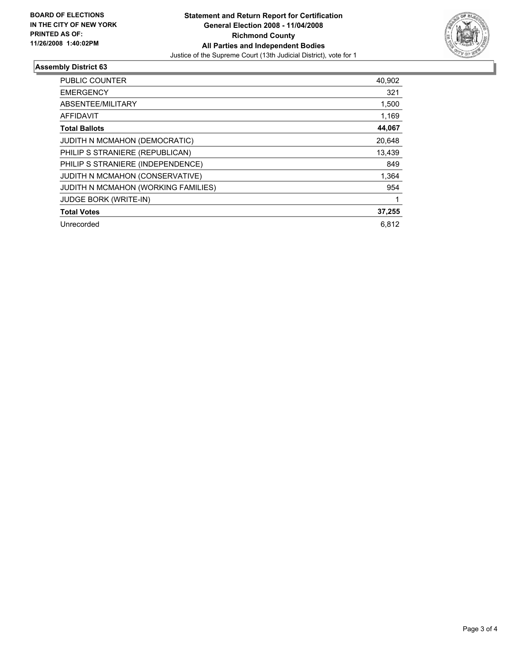

#### **Assembly District 63**

| <b>PUBLIC COUNTER</b>               | 40,902 |
|-------------------------------------|--------|
| <b>EMERGENCY</b>                    | 321    |
| ABSENTEE/MILITARY                   | 1,500  |
| AFFIDAVIT                           | 1,169  |
| <b>Total Ballots</b>                | 44,067 |
| JUDITH N MCMAHON (DEMOCRATIC)       | 20,648 |
| PHILIP S STRANIERE (REPUBLICAN)     | 13,439 |
| PHILIP S STRANIERE (INDEPENDENCE)   | 849    |
| JUDITH N MCMAHON (CONSERVATIVE)     | 1,364  |
| JUDITH N MCMAHON (WORKING FAMILIES) | 954    |
| <b>JUDGE BORK (WRITE-IN)</b>        |        |
| <b>Total Votes</b>                  | 37,255 |
| Unrecorded                          | 6.812  |